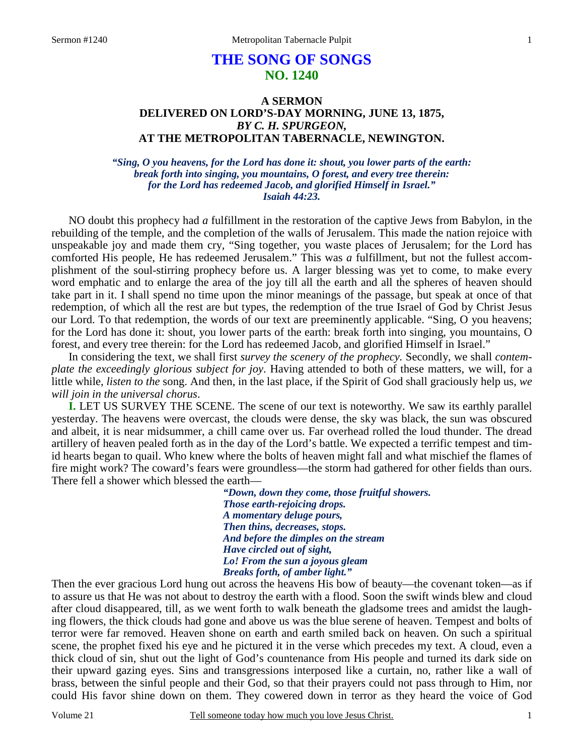# **THE SONG OF SONGS NO. 1240**

### **A SERMON DELIVERED ON LORD'S-DAY MORNING, JUNE 13, 1875,**  *BY C. H. SPURGEON,*  **AT THE METROPOLITAN TABERNACLE, NEWINGTON.**

*"Sing, O you heavens, for the Lord has done it: shout, you lower parts of the earth: break forth into singing, you mountains, O forest, and every tree therein: for the Lord has redeemed Jacob, and glorified Himself in Israel." Isaiah 44:23.* 

NO doubt this prophecy had *a* fulfillment in the restoration of the captive Jews from Babylon, in the rebuilding of the temple, and the completion of the walls of Jerusalem. This made the nation rejoice with unspeakable joy and made them cry, "Sing together, you waste places of Jerusalem; for the Lord has comforted His people, He has redeemed Jerusalem." This was *a* fulfillment, but not the fullest accomplishment of the soul-stirring prophecy before us. A larger blessing was yet to come, to make every word emphatic and to enlarge the area of the joy till all the earth and all the spheres of heaven should take part in it. I shall spend no time upon the minor meanings of the passage, but speak at once of that redemption, of which all the rest are but types, the redemption of the true Israel of God by Christ Jesus our Lord. To that redemption, the words of our text are preeminently applicable. "Sing, O you heavens; for the Lord has done it: shout, you lower parts of the earth: break forth into singing, you mountains, O forest, and every tree therein: for the Lord has redeemed Jacob, and glorified Himself in Israel."

In considering the text, we shall first *survey the scenery of the prophecy.* Secondly, we shall *contemplate the exceedingly glorious subject for joy*. Having attended to both of these matters, we will, for a little while, *listen to the* song. And then, in the last place, if the Spirit of God shall graciously help us, *we will join in the universal chorus*.

**I.** LET US SURVEY THE SCENE. The scene of our text is noteworthy. We saw its earthly parallel yesterday. The heavens were overcast, the clouds were dense, the sky was black, the sun was obscured and albeit, it is near midsummer, a chill came over us. Far overhead rolled the loud thunder. The dread artillery of heaven pealed forth as in the day of the Lord's battle. We expected a terrific tempest and timid hearts began to quail. Who knew where the bolts of heaven might fall and what mischief the flames of fire might work? The coward's fears were groundless—the storm had gathered for other fields than ours. There fell a shower which blessed the earth—

> *"Down, down they come, those fruitful showers. Those earth-rejoicing drops. A momentary deluge pours, Then thins, decreases, stops. And before the dimples on the stream Have circled out of sight, Lo! From the sun a joyous gleam Breaks forth, of amber light."*

Then the ever gracious Lord hung out across the heavens His bow of beauty—the covenant token—as if to assure us that He was not about to destroy the earth with a flood. Soon the swift winds blew and cloud after cloud disappeared, till, as we went forth to walk beneath the gladsome trees and amidst the laughing flowers, the thick clouds had gone and above us was the blue serene of heaven. Tempest and bolts of terror were far removed. Heaven shone on earth and earth smiled back on heaven. On such a spiritual scene, the prophet fixed his eye and he pictured it in the verse which precedes my text. A cloud, even a thick cloud of sin, shut out the light of God's countenance from His people and turned its dark side on their upward gazing eyes. Sins and transgressions interposed like a curtain, no, rather like a wall of brass, between the sinful people and their God, so that their prayers could not pass through to Him, nor could His favor shine down on them. They cowered down in terror as they heard the voice of God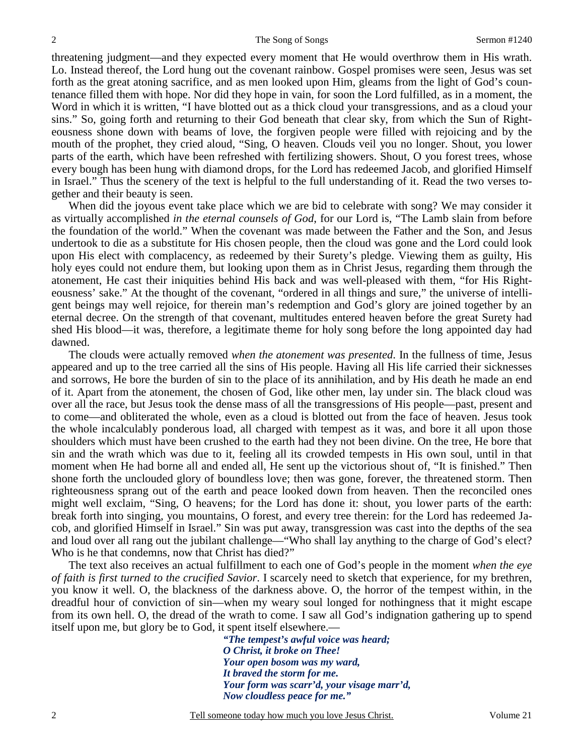threatening judgment—and they expected every moment that He would overthrow them in His wrath. Lo. Instead thereof, the Lord hung out the covenant rainbow. Gospel promises were seen, Jesus was set forth as the great atoning sacrifice, and as men looked upon Him, gleams from the light of God's countenance filled them with hope. Nor did they hope in vain, for soon the Lord fulfilled, as in a moment, the Word in which it is written, "I have blotted out as a thick cloud your transgressions, and as a cloud your sins." So, going forth and returning to their God beneath that clear sky, from which the Sun of Righteousness shone down with beams of love, the forgiven people were filled with rejoicing and by the mouth of the prophet, they cried aloud, "Sing, O heaven. Clouds veil you no longer. Shout, you lower parts of the earth, which have been refreshed with fertilizing showers. Shout, O you forest trees, whose every bough has been hung with diamond drops, for the Lord has redeemed Jacob, and glorified Himself in Israel." Thus the scenery of the text is helpful to the full understanding of it. Read the two verses together and their beauty is seen.

 When did the joyous event take place which we are bid to celebrate with song? We may consider it as virtually accomplished *in the eternal counsels of God*, for our Lord is, "The Lamb slain from before the foundation of the world." When the covenant was made between the Father and the Son, and Jesus undertook to die as a substitute for His chosen people, then the cloud was gone and the Lord could look upon His elect with complacency, as redeemed by their Surety's pledge. Viewing them as guilty, His holy eyes could not endure them, but looking upon them as in Christ Jesus, regarding them through the atonement, He cast their iniquities behind His back and was well-pleased with them, "for His Righteousness' sake." At the thought of the covenant, "ordered in all things and sure," the universe of intelligent beings may well rejoice, for therein man's redemption and God's glory are joined together by an eternal decree. On the strength of that covenant, multitudes entered heaven before the great Surety had shed His blood—it was, therefore, a legitimate theme for holy song before the long appointed day had dawned.

 The clouds were actually removed *when the atonement was presented*. In the fullness of time, Jesus appeared and up to the tree carried all the sins of His people. Having all His life carried their sicknesses and sorrows, He bore the burden of sin to the place of its annihilation, and by His death he made an end of it. Apart from the atonement, the chosen of God, like other men, lay under sin. The black cloud was over all the race, but Jesus took the dense mass of all the transgressions of His people—past, present and to come—and obliterated the whole, even as a cloud is blotted out from the face of heaven. Jesus took the whole incalculably ponderous load, all charged with tempest as it was, and bore it all upon those shoulders which must have been crushed to the earth had they not been divine. On the tree, He bore that sin and the wrath which was due to it, feeling all its crowded tempests in His own soul, until in that moment when He had borne all and ended all, He sent up the victorious shout of, "It is finished." Then shone forth the unclouded glory of boundless love; then was gone, forever, the threatened storm. Then righteousness sprang out of the earth and peace looked down from heaven. Then the reconciled ones might well exclaim, "Sing, O heavens; for the Lord has done it: shout, you lower parts of the earth: break forth into singing, you mountains, O forest, and every tree therein: for the Lord has redeemed Jacob, and glorified Himself in Israel." Sin was put away, transgression was cast into the depths of the sea and loud over all rang out the jubilant challenge—"Who shall lay anything to the charge of God's elect? Who is he that condemns, now that Christ has died?"

The text also receives an actual fulfillment to each one of God's people in the moment *when the eye of faith is first turned to the crucified Savior*. I scarcely need to sketch that experience, for my brethren, you know it well. O, the blackness of the darkness above. O, the horror of the tempest within, in the dreadful hour of conviction of sin—when my weary soul longed for nothingness that it might escape from its own hell. O, the dread of the wrath to come. I saw all God's indignation gathering up to spend itself upon me, but glory be to God, it spent itself elsewhere.—

> *"The tempest's awful voice was heard; O Christ, it broke on Thee! Your open bosom was my ward, It braved the storm for me. Your form was scarr'd, your visage marr'd, Now cloudless peace for me."*

Tell someone today how much you love Jesus Christ. Volume 21

2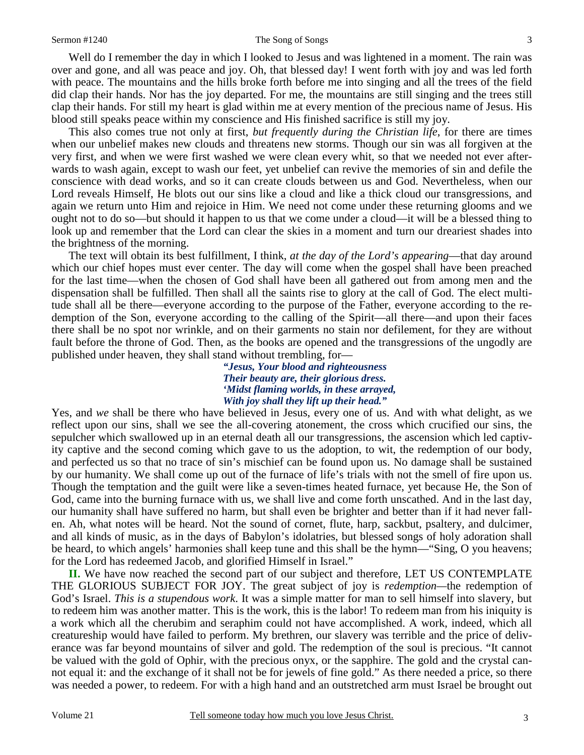#### Sermon #1240 The Song of Songs

Well do I remember the day in which I looked to Jesus and was lightened in a moment. The rain was over and gone, and all was peace and joy. Oh, that blessed day! I went forth with joy and was led forth with peace. The mountains and the hills broke forth before me into singing and all the trees of the field did clap their hands. Nor has the joy departed. For me, the mountains are still singing and the trees still clap their hands. For still my heart is glad within me at every mention of the precious name of Jesus. His blood still speaks peace within my conscience and His finished sacrifice is still my joy.

This also comes true not only at first, *but frequently during the Christian life*, for there are times when our unbelief makes new clouds and threatens new storms. Though our sin was all forgiven at the very first, and when we were first washed we were clean every whit, so that we needed not ever afterwards to wash again, except to wash our feet, yet unbelief can revive the memories of sin and defile the conscience with dead works, and so it can create clouds between us and God. Nevertheless, when our Lord reveals Himself, He blots out our sins like a cloud and like a thick cloud our transgressions, and again we return unto Him and rejoice in Him. We need not come under these returning glooms and we ought not to do so—but should it happen to us that we come under a cloud—it will be a blessed thing to look up and remember that the Lord can clear the skies in a moment and turn our dreariest shades into the brightness of the morning.

The text will obtain its best fulfillment, I think, *at the day of the Lord's appearing*—that day around which our chief hopes must ever center. The day will come when the gospel shall have been preached for the last time—when the chosen of God shall have been all gathered out from among men and the dispensation shall be fulfilled. Then shall all the saints rise to glory at the call of God. The elect multitude shall all be there—everyone according to the purpose of the Father, everyone according to the redemption of the Son, everyone according to the calling of the Spirit—all there—and upon their faces there shall be no spot nor wrinkle, and on their garments no stain nor defilement, for they are without fault before the throne of God. Then, as the books are opened and the transgressions of the ungodly are published under heaven, they shall stand without trembling, for—

> *"Jesus, Your blood and righteousness Their beauty are, their glorious dress. 'Midst flaming worlds, in these arrayed, With joy shall they lift up their head."*

Yes, and *we* shall be there who have believed in Jesus, every one of us. And with what delight, as we reflect upon our sins, shall we see the all-covering atonement, the cross which crucified our sins, the sepulcher which swallowed up in an eternal death all our transgressions, the ascension which led captivity captive and the second coming which gave to us the adoption, to wit, the redemption of our body, and perfected us so that no trace of sin's mischief can be found upon us. No damage shall be sustained by our humanity. We shall come up out of the furnace of life's trials with not the smell of fire upon us. Though the temptation and the guilt were like a seven-times heated furnace, yet because He, the Son of God, came into the burning furnace with us, we shall live and come forth unscathed. And in the last day, our humanity shall have suffered no harm, but shall even be brighter and better than if it had never fallen. Ah, what notes will be heard. Not the sound of cornet, flute, harp, sackbut, psaltery, and dulcimer, and all kinds of music, as in the days of Babylon's idolatries, but blessed songs of holy adoration shall be heard, to which angels' harmonies shall keep tune and this shall be the hymn—"Sing, O you heavens; for the Lord has redeemed Jacob, and glorified Himself in Israel."

**II.** We have now reached the second part of our subject and therefore, LET US CONTEMPLATE THE GLORIOUS SUBJECT FOR JOY. The great subject of joy is *redemption—*the redemption of God's Israel. *This is a stupendous work*. It was a simple matter for man to sell himself into slavery, but to redeem him was another matter. This is the work, this is the labor! To redeem man from his iniquity is a work which all the cherubim and seraphim could not have accomplished. A work, indeed, which all creatureship would have failed to perform. My brethren, our slavery was terrible and the price of deliverance was far beyond mountains of silver and gold. The redemption of the soul is precious. "It cannot be valued with the gold of Ophir, with the precious onyx, or the sapphire. The gold and the crystal cannot equal it: and the exchange of it shall not be for jewels of fine gold." As there needed a price, so there was needed a power, to redeem. For with a high hand and an outstretched arm must Israel be brought out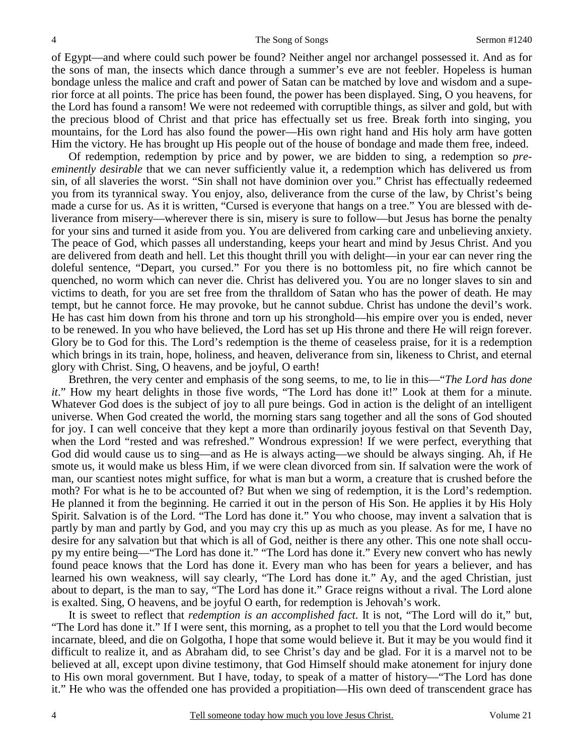of Egypt—and where could such power be found? Neither angel nor archangel possessed it. And as for the sons of man, the insects which dance through a summer's eve are not feebler. Hopeless is human bondage unless the malice and craft and power of Satan can be matched by love and wisdom and a superior force at all points. The price has been found, the power has been displayed. Sing, O you heavens, for the Lord has found a ransom! We were not redeemed with corruptible things, as silver and gold, but with the precious blood of Christ and that price has effectually set us free. Break forth into singing, you mountains, for the Lord has also found the power—His own right hand and His holy arm have gotten Him the victory. He has brought up His people out of the house of bondage and made them free, indeed.

Of redemption, redemption by price and by power, we are bidden to sing, a redemption so *preeminently desirable* that we can never sufficiently value it, a redemption which has delivered us from sin, of all slaveries the worst. "Sin shall not have dominion over you." Christ has effectually redeemed you from its tyrannical sway. You enjoy, also, deliverance from the curse of the law, by Christ's being made a curse for us. As it is written, "Cursed is everyone that hangs on a tree." You are blessed with deliverance from misery—wherever there is sin, misery is sure to follow—but Jesus has borne the penalty for your sins and turned it aside from you. You are delivered from carking care and unbelieving anxiety. The peace of God, which passes all understanding, keeps your heart and mind by Jesus Christ. And you are delivered from death and hell. Let this thought thrill you with delight—in your ear can never ring the doleful sentence, "Depart, you cursed." For you there is no bottomless pit, no fire which cannot be quenched, no worm which can never die. Christ has delivered you. You are no longer slaves to sin and victims to death, for you are set free from the thralldom of Satan who has the power of death. He may tempt, but he cannot force. He may provoke, but he cannot subdue. Christ has undone the devil's work. He has cast him down from his throne and torn up his stronghold—his empire over you is ended, never to be renewed. In you who have believed, the Lord has set up His throne and there He will reign forever. Glory be to God for this. The Lord's redemption is the theme of ceaseless praise, for it is a redemption which brings in its train, hope, holiness, and heaven, deliverance from sin, likeness to Christ, and eternal glory with Christ. Sing, O heavens, and be joyful, O earth!

Brethren, the very center and emphasis of the song seems, to me, to lie in this—"*The Lord has done it*." How my heart delights in those five words, "The Lord has done it!" Look at them for a minute. Whatever God does is the subject of joy to all pure beings. God in action is the delight of an intelligent universe. When God created the world, the morning stars sang together and all the sons of God shouted for joy. I can well conceive that they kept a more than ordinarily joyous festival on that Seventh Day, when the Lord "rested and was refreshed." Wondrous expression! If we were perfect, everything that God did would cause us to sing—and as He is always acting—we should be always singing. Ah, if He smote us, it would make us bless Him, if we were clean divorced from sin. If salvation were the work of man, our scantiest notes might suffice, for what is man but a worm, a creature that is crushed before the moth? For what is he to be accounted of? But when we sing of redemption, it is the Lord's redemption. He planned it from the beginning. He carried it out in the person of His Son. He applies it by His Holy Spirit. Salvation is of the Lord. "The Lord has done it." You who choose, may invent a salvation that is partly by man and partly by God, and you may cry this up as much as you please. As for me, I have no desire for any salvation but that which is all of God, neither is there any other. This one note shall occupy my entire being—"The Lord has done it." "The Lord has done it." Every new convert who has newly found peace knows that the Lord has done it. Every man who has been for years a believer, and has learned his own weakness, will say clearly, "The Lord has done it." Ay, and the aged Christian, just about to depart, is the man to say, "The Lord has done it." Grace reigns without a rival. The Lord alone is exalted. Sing, O heavens, and be joyful O earth, for redemption is Jehovah's work.

It is sweet to reflect that *redemption is an accomplished fact*. It is not, "The Lord will do it," but, "The Lord has done it." If I were sent, this morning, as a prophet to tell you that the Lord would become incarnate, bleed, and die on Golgotha, I hope that some would believe it. But it may be you would find it difficult to realize it, and as Abraham did, to see Christ's day and be glad. For it is a marvel not to be believed at all, except upon divine testimony, that God Himself should make atonement for injury done to His own moral government. But I have, today, to speak of a matter of history—"The Lord has done it." He who was the offended one has provided a propitiation—His own deed of transcendent grace has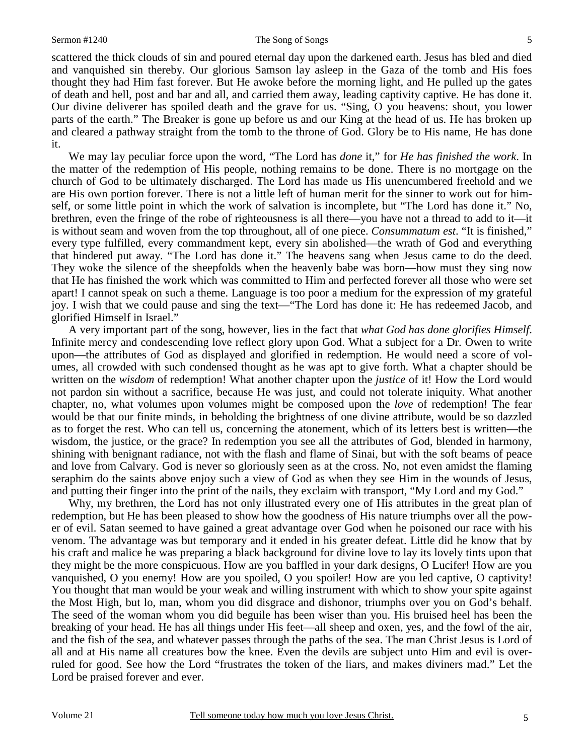scattered the thick clouds of sin and poured eternal day upon the darkened earth. Jesus has bled and died and vanquished sin thereby. Our glorious Samson lay asleep in the Gaza of the tomb and His foes thought they had Him fast forever. But He awoke before the morning light, and He pulled up the gates of death and hell, post and bar and all, and carried them away, leading captivity captive. He has done it. Our divine deliverer has spoiled death and the grave for us. "Sing, O you heavens: shout, you lower parts of the earth." The Breaker is gone up before us and our King at the head of us. He has broken up and cleared a pathway straight from the tomb to the throne of God. Glory be to His name, He has done it.

We may lay peculiar force upon the word, "The Lord has *done* it," for *He has finished the work*. In the matter of the redemption of His people, nothing remains to be done. There is no mortgage on the church of God to be ultimately discharged. The Lord has made us His unencumbered freehold and we are His own portion forever. There is not a little left of human merit for the sinner to work out for himself, or some little point in which the work of salvation is incomplete, but "The Lord has done it." No, brethren, even the fringe of the robe of righteousness is all there—you have not a thread to add to it—it is without seam and woven from the top throughout, all of one piece. *Consummatum est*. "It is finished," every type fulfilled, every commandment kept, every sin abolished—the wrath of God and everything that hindered put away. "The Lord has done it." The heavens sang when Jesus came to do the deed. They woke the silence of the sheepfolds when the heavenly babe was born—how must they sing now that He has finished the work which was committed to Him and perfected forever all those who were set apart! I cannot speak on such a theme. Language is too poor a medium for the expression of my grateful joy. I wish that we could pause and sing the text—"The Lord has done it: He has redeemed Jacob, and glorified Himself in Israel."

A very important part of the song, however, lies in the fact that *what God has done glorifies Himself*. Infinite mercy and condescending love reflect glory upon God. What a subject for a Dr. Owen to write upon—the attributes of God as displayed and glorified in redemption. He would need a score of volumes, all crowded with such condensed thought as he was apt to give forth. What a chapter should be written on the *wisdom* of redemption! What another chapter upon the *justice* of it! How the Lord would not pardon sin without a sacrifice, because He was just, and could not tolerate iniquity. What another chapter, no, what volumes upon volumes might be composed upon the *love* of redemption! The fear would be that our finite minds, in beholding the brightness of one divine attribute, would be so dazzled as to forget the rest. Who can tell us, concerning the atonement, which of its letters best is written—the wisdom, the justice, or the grace? In redemption you see all the attributes of God, blended in harmony, shining with benignant radiance, not with the flash and flame of Sinai, but with the soft beams of peace and love from Calvary. God is never so gloriously seen as at the cross. No, not even amidst the flaming seraphim do the saints above enjoy such a view of God as when they see Him in the wounds of Jesus, and putting their finger into the print of the nails, they exclaim with transport, "My Lord and my God."

Why, my brethren, the Lord has not only illustrated every one of His attributes in the great plan of redemption, but He has been pleased to show how the goodness of His nature triumphs over all the power of evil. Satan seemed to have gained a great advantage over God when he poisoned our race with his venom. The advantage was but temporary and it ended in his greater defeat. Little did he know that by his craft and malice he was preparing a black background for divine love to lay its lovely tints upon that they might be the more conspicuous. How are you baffled in your dark designs, O Lucifer! How are you vanquished, O you enemy! How are you spoiled, O you spoiler! How are you led captive, O captivity! You thought that man would be your weak and willing instrument with which to show your spite against the Most High, but lo, man, whom you did disgrace and dishonor, triumphs over you on God's behalf. The seed of the woman whom you did beguile has been wiser than you. His bruised heel has been the breaking of your head. He has all things under His feet—all sheep and oxen, yes, and the fowl of the air, and the fish of the sea, and whatever passes through the paths of the sea. The man Christ Jesus is Lord of all and at His name all creatures bow the knee. Even the devils are subject unto Him and evil is overruled for good. See how the Lord "frustrates the token of the liars, and makes diviners mad." Let the Lord be praised forever and ever.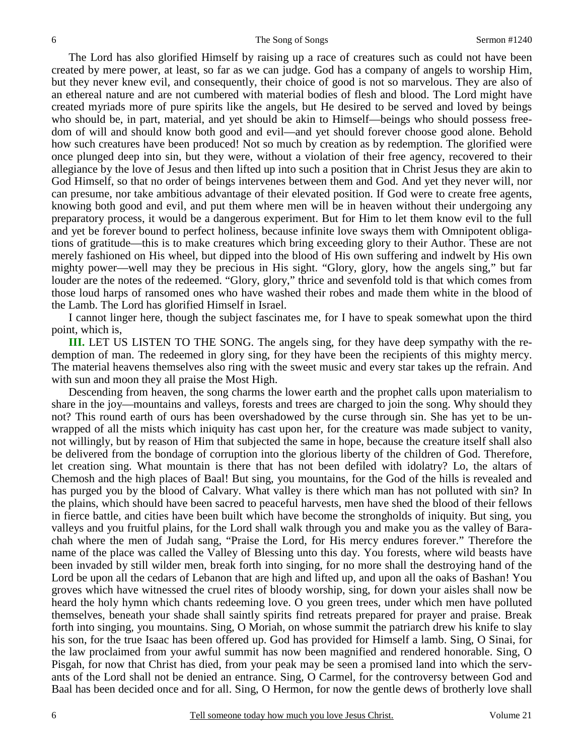The Lord has also glorified Himself by raising up a race of creatures such as could not have been created by mere power, at least, so far as we can judge. God has a company of angels to worship Him, but they never knew evil, and consequently, their choice of good is not so marvelous. They are also of an ethereal nature and are not cumbered with material bodies of flesh and blood. The Lord might have created myriads more of pure spirits like the angels, but He desired to be served and loved by beings who should be, in part, material, and yet should be akin to Himself—beings who should possess freedom of will and should know both good and evil—and yet should forever choose good alone. Behold how such creatures have been produced! Not so much by creation as by redemption. The glorified were once plunged deep into sin, but they were, without a violation of their free agency, recovered to their allegiance by the love of Jesus and then lifted up into such a position that in Christ Jesus they are akin to God Himself, so that no order of beings intervenes between them and God. And yet they never will, nor can presume, nor take ambitious advantage of their elevated position. If God were to create free agents, knowing both good and evil, and put them where men will be in heaven without their undergoing any preparatory process, it would be a dangerous experiment. But for Him to let them know evil to the full and yet be forever bound to perfect holiness, because infinite love sways them with Omnipotent obligations of gratitude—this is to make creatures which bring exceeding glory to their Author. These are not merely fashioned on His wheel, but dipped into the blood of His own suffering and indwelt by His own mighty power—well may they be precious in His sight. "Glory, glory, how the angels sing," but far louder are the notes of the redeemed. "Glory, glory," thrice and sevenfold told is that which comes from those loud harps of ransomed ones who have washed their robes and made them white in the blood of the Lamb. The Lord has glorified Himself in Israel.

I cannot linger here, though the subject fascinates me, for I have to speak somewhat upon the third point, which is,

**III.** LET US LISTEN TO THE SONG. The angels sing, for they have deep sympathy with the redemption of man. The redeemed in glory sing, for they have been the recipients of this mighty mercy. The material heavens themselves also ring with the sweet music and every star takes up the refrain. And with sun and moon they all praise the Most High.

Descending from heaven, the song charms the lower earth and the prophet calls upon materialism to share in the joy—mountains and valleys, forests and trees are charged to join the song. Why should they not? This round earth of ours has been overshadowed by the curse through sin. She has yet to be unwrapped of all the mists which iniquity has cast upon her, for the creature was made subject to vanity, not willingly, but by reason of Him that subjected the same in hope, because the creature itself shall also be delivered from the bondage of corruption into the glorious liberty of the children of God. Therefore, let creation sing. What mountain is there that has not been defiled with idolatry? Lo, the altars of Chemosh and the high places of Baal! But sing, you mountains, for the God of the hills is revealed and has purged you by the blood of Calvary. What valley is there which man has not polluted with sin? In the plains, which should have been sacred to peaceful harvests, men have shed the blood of their fellows in fierce battle, and cities have been built which have become the strongholds of iniquity. But sing, you valleys and you fruitful plains, for the Lord shall walk through you and make you as the valley of Barachah where the men of Judah sang, "Praise the Lord, for His mercy endures forever." Therefore the name of the place was called the Valley of Blessing unto this day. You forests, where wild beasts have been invaded by still wilder men, break forth into singing, for no more shall the destroying hand of the Lord be upon all the cedars of Lebanon that are high and lifted up, and upon all the oaks of Bashan! You groves which have witnessed the cruel rites of bloody worship, sing, for down your aisles shall now be heard the holy hymn which chants redeeming love. O you green trees, under which men have polluted themselves, beneath your shade shall saintly spirits find retreats prepared for prayer and praise. Break forth into singing, you mountains. Sing, O Moriah, on whose summit the patriarch drew his knife to slay his son, for the true Isaac has been offered up. God has provided for Himself a lamb. Sing, O Sinai, for the law proclaimed from your awful summit has now been magnified and rendered honorable. Sing, O Pisgah, for now that Christ has died, from your peak may be seen a promised land into which the servants of the Lord shall not be denied an entrance. Sing, O Carmel, for the controversy between God and Baal has been decided once and for all. Sing, O Hermon, for now the gentle dews of brotherly love shall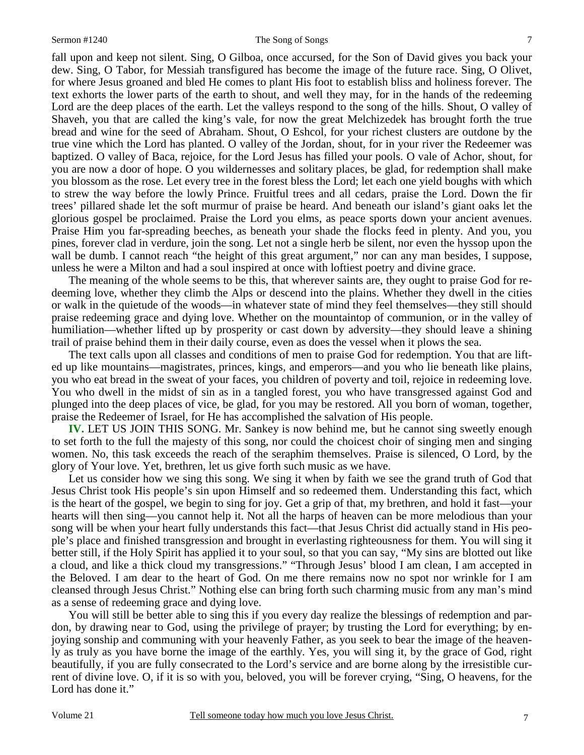7

fall upon and keep not silent. Sing, O Gilboa, once accursed, for the Son of David gives you back your dew. Sing, O Tabor, for Messiah transfigured has become the image of the future race. Sing, O Olivet, for where Jesus groaned and bled He comes to plant His foot to establish bliss and holiness forever. The text exhorts the lower parts of the earth to shout, and well they may, for in the hands of the redeeming Lord are the deep places of the earth. Let the valleys respond to the song of the hills. Shout, O valley of Shaveh, you that are called the king's vale, for now the great Melchizedek has brought forth the true bread and wine for the seed of Abraham. Shout, O Eshcol, for your richest clusters are outdone by the true vine which the Lord has planted. O valley of the Jordan, shout, for in your river the Redeemer was baptized. O valley of Baca, rejoice, for the Lord Jesus has filled your pools. O vale of Achor, shout, for you are now a door of hope. O you wildernesses and solitary places, be glad, for redemption shall make you blossom as the rose. Let every tree in the forest bless the Lord; let each one yield boughs with which to strew the way before the lowly Prince. Fruitful trees and all cedars, praise the Lord. Down the fir trees' pillared shade let the soft murmur of praise be heard. And beneath our island's giant oaks let the glorious gospel be proclaimed. Praise the Lord you elms, as peace sports down your ancient avenues. Praise Him you far-spreading beeches, as beneath your shade the flocks feed in plenty. And you, you pines, forever clad in verdure, join the song. Let not a single herb be silent, nor even the hyssop upon the wall be dumb. I cannot reach "the height of this great argument," nor can any man besides, I suppose, unless he were a Milton and had a soul inspired at once with loftiest poetry and divine grace.

The meaning of the whole seems to be this, that wherever saints are, they ought to praise God for redeeming love, whether they climb the Alps or descend into the plains. Whether they dwell in the cities or walk in the quietude of the woods—in whatever state of mind they feel themselves—they still should praise redeeming grace and dying love. Whether on the mountaintop of communion, or in the valley of humiliation—whether lifted up by prosperity or cast down by adversity—they should leave a shining trail of praise behind them in their daily course, even as does the vessel when it plows the sea.

The text calls upon all classes and conditions of men to praise God for redemption. You that are lifted up like mountains—magistrates, princes, kings, and emperors—and you who lie beneath like plains, you who eat bread in the sweat of your faces, you children of poverty and toil, rejoice in redeeming love. You who dwell in the midst of sin as in a tangled forest, you who have transgressed against God and plunged into the deep places of vice, be glad, for you may be restored. All you born of woman, together, praise the Redeemer of Israel, for He has accomplished the salvation of His people.

**IV.** LET US JOIN THIS SONG. Mr. Sankey is now behind me, but he cannot sing sweetly enough to set forth to the full the majesty of this song, nor could the choicest choir of singing men and singing women. No, this task exceeds the reach of the seraphim themselves. Praise is silenced, O Lord, by the glory of Your love. Yet, brethren, let us give forth such music as we have.

Let us consider how we sing this song. We sing it when by faith we see the grand truth of God that Jesus Christ took His people's sin upon Himself and so redeemed them. Understanding this fact, which is the heart of the gospel, we begin to sing for joy. Get a grip of that, my brethren, and hold it fast—your hearts will then sing—you cannot help it. Not all the harps of heaven can be more melodious than your song will be when your heart fully understands this fact—that Jesus Christ did actually stand in His people's place and finished transgression and brought in everlasting righteousness for them. You will sing it better still, if the Holy Spirit has applied it to your soul, so that you can say, "My sins are blotted out like a cloud, and like a thick cloud my transgressions." "Through Jesus' blood I am clean, I am accepted in the Beloved. I am dear to the heart of God. On me there remains now no spot nor wrinkle for I am cleansed through Jesus Christ." Nothing else can bring forth such charming music from any man's mind as a sense of redeeming grace and dying love.

You will still be better able to sing this if you every day realize the blessings of redemption and pardon, by drawing near to God, using the privilege of prayer; by trusting the Lord for everything; by enjoying sonship and communing with your heavenly Father, as you seek to bear the image of the heavenly as truly as you have borne the image of the earthly. Yes, you will sing it, by the grace of God, right beautifully, if you are fully consecrated to the Lord's service and are borne along by the irresistible current of divine love. O, if it is so with you, beloved, you will be forever crying, "Sing, O heavens, for the Lord has done it."